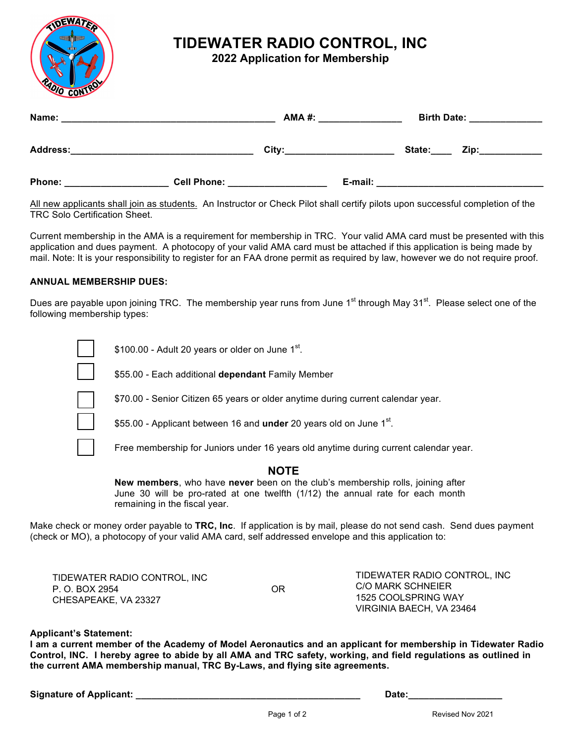

# **TIDEWATER RADIO CONTROL, INC**

**2022 Application for Membership** 

| Name:<br>the contract of the contract of the contract of the contract of the contract of |                    | <b>AMA #:</b> |         | <b>Birth Date:</b> | <u> 1980 - Jan Barnett, franc</u> |
|------------------------------------------------------------------------------------------|--------------------|---------------|---------|--------------------|-----------------------------------|
| <b>Address:</b>                                                                          |                    | City:         |         | State:             | Zip:____________                  |
| Phone:                                                                                   | <b>Cell Phone:</b> |               | E-mail: |                    |                                   |

All new applicants shall join as students. An Instructor or Check Pilot shall certify pilots upon successful completion of the TRC Solo Certification Sheet.

Current membership in the AMA is a requirement for membership in TRC. Your valid AMA card must be presented with this application and dues payment. A photocopy of your valid AMA card must be attached if this application is being made by mail. Note: It is your responsibility to register for an FAA drone permit as required by law, however we do not require proof.

#### **ANNUAL MEMBERSHIP DUES:**

Dues are payable upon joining TRC. The membership year runs from June 1<sup>st</sup> through May 31<sup>st</sup>. Please select one of the following membership types:



\$100.00 - Adult 20 years or older on June  $1<sup>st</sup>$ .

q \$55.00 - Each additional **dependant** Family Member



\$70.00 - Senior Citizen 65 years or older anytime during current calendar year.

\$55.00 - Applicant between 16 and **under** 20 years old on June 1<sup>st</sup>.

Free membership for Juniors under 16 years old anytime during current calendar year.

### **NOTE**

**New members**, who have **never** been on the club's membership rolls, joining after June 30 will be pro-rated at one twelfth (1/12) the annual rate for each month remaining in the fiscal year.

Make check or money order payable to **TRC, Inc**. If application is by mail, please do not send cash. Send dues payment (check or MO), a photocopy of your valid AMA card, self addressed envelope and this application to:

| TIDEWATER RADIO CONTROL, INC |    | TIDEWATER RADIO CONTROL, INC |
|------------------------------|----|------------------------------|
| P. O. BOX 2954               | OR | C/O MARK SCHNEIER            |
| CHESAPEAKE, VA 23327         |    | 1525 COOLSPRING WAY          |
|                              |    | VIRGINIA BAECH, VA 23464     |

#### **Applicant's Statement:**

I am a current member of the Academy of Model Aeronautics and an applicant for membership in Tidewater Radio Control, INC. I hereby agree to abide by all AMA and TRC safety, working, and field regulations as outlined in **the current AMA membership manual, TRC By-Laws, and flying site agreements.** 

| <b>Signature of Applicant:</b> |  |
|--------------------------------|--|
|                                |  |